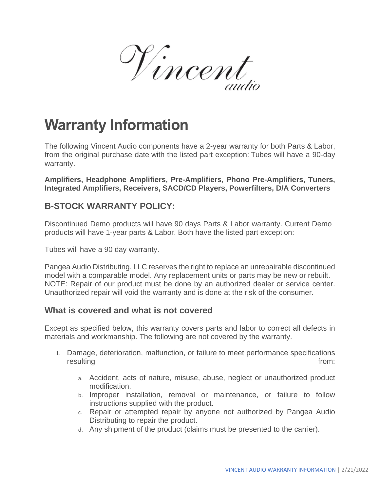V incent

# **Warranty Information**

The following Vincent Audio components have a 2-year warranty for both Parts & Labor, from the original purchase date with the listed part exception: Tubes will have a 90-day warranty.

**Amplifiers, Headphone Amplifiers, Pre-Amplifiers, Phono Pre-Amplifiers, Tuners, Integrated Amplifiers, Receivers, SACD/CD Players, Powerfilters, D/A Converters**

# **B-STOCK WARRANTY POLICY:**

Discontinued Demo products will have 90 days Parts & Labor warranty. Current Demo products will have 1-year parts & Labor. Both have the listed part exception:

Tubes will have a 90 day warranty.

Pangea Audio Distributing, LLC reserves the right to replace an unrepairable discontinued model with a comparable model. Any replacement units or parts may be new or rebuilt. NOTE: Repair of our product must be done by an authorized dealer or service center. Unauthorized repair will void the warranty and is done at the risk of the consumer.

## **What is covered and what is not covered**

Except as specified below, this warranty covers parts and labor to correct all defects in materials and workmanship. The following are not covered by the warranty.

- 1. Damage, deterioration, malfunction, or failure to meet performance specifications resulting from:
	- a. Accident, acts of nature, misuse, abuse, neglect or unauthorized product modification.
	- b. Improper installation, removal or maintenance, or failure to follow instructions supplied with the product.
	- c. Repair or attempted repair by anyone not authorized by Pangea Audio Distributing to repair the product.
	- d. Any shipment of the product (claims must be presented to the carrier).